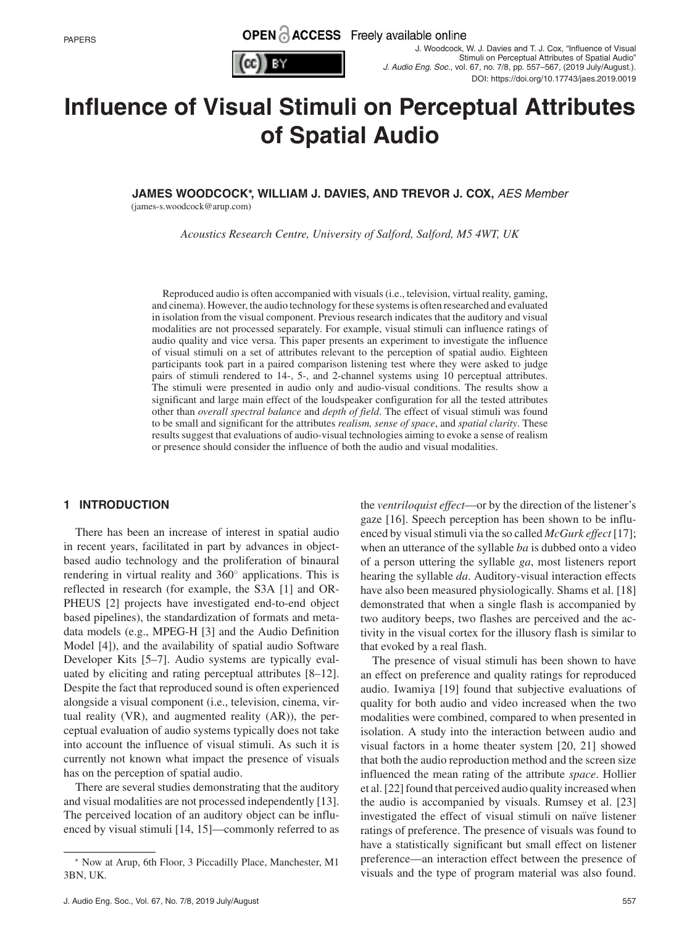



# **Influence of Visual Stimuli on Perceptual Attributes of Spatial Audio**

**JAMES WOODCOCK<sup>∗</sup> , WILLIAM J. DAVIES, AND TREVOR J. COX,** AES Member

(james-s.woodcock@arup.com)

*Acoustics Research Centre, University of Salford, Salford, M5 4WT, UK*

Reproduced audio is often accompanied with visuals (i.e., television, virtual reality, gaming, and cinema). However, the audio technology for these systems is often researched and evaluated in isolation from the visual component. Previous research indicates that the auditory and visual modalities are not processed separately. For example, visual stimuli can influence ratings of audio quality and vice versa. This paper presents an experiment to investigate the influence of visual stimuli on a set of attributes relevant to the perception of spatial audio. Eighteen participants took part in a paired comparison listening test where they were asked to judge pairs of stimuli rendered to 14-, 5-, and 2-channel systems using 10 perceptual attributes. The stimuli were presented in audio only and audio-visual conditions. The results show a significant and large main effect of the loudspeaker configuration for all the tested attributes other than *overall spectral balance* and *depth of field*. The effect of visual stimuli was found to be small and significant for the attributes *realism, sense of space*, and *spatial clarity*. These results suggest that evaluations of audio-visual technologies aiming to evoke a sense of realism or presence should consider the influence of both the audio and visual modalities.

#### **1 INTRODUCTION**

There has been an increase of interest in spatial audio in recent years, facilitated in part by advances in objectbased audio technology and the proliferation of binaural rendering in virtual reality and 360◦ applications. This is reflected in research (for example, the S3A [1] and OR-PHEUS [2] projects have investigated end-to-end object based pipelines), the standardization of formats and metadata models (e.g., MPEG-H [3] and the Audio Definition Model [4]), and the availability of spatial audio Software Developer Kits [5–7]. Audio systems are typically evaluated by eliciting and rating perceptual attributes [8–12]. Despite the fact that reproduced sound is often experienced alongside a visual component (i.e., television, cinema, virtual reality (VR), and augmented reality (AR)), the perceptual evaluation of audio systems typically does not take into account the influence of visual stimuli. As such it is currently not known what impact the presence of visuals has on the perception of spatial audio.

There are several studies demonstrating that the auditory and visual modalities are not processed independently [13]. The perceived location of an auditory object can be influenced by visual stimuli [14, 15]—commonly referred to as the *ventriloquist effect*—or by the direction of the listener's gaze [16]. Speech perception has been shown to be influenced by visual stimuli via the so called *McGurk effect* [17]; when an utterance of the syllable *ba* is dubbed onto a video of a person uttering the syllable *ga*, most listeners report hearing the syllable *da*. Auditory-visual interaction effects have also been measured physiologically. Shams et al. [18] demonstrated that when a single flash is accompanied by two auditory beeps, two flashes are perceived and the activity in the visual cortex for the illusory flash is similar to that evoked by a real flash.

The presence of visual stimuli has been shown to have an effect on preference and quality ratings for reproduced audio. Iwamiya [19] found that subjective evaluations of quality for both audio and video increased when the two modalities were combined, compared to when presented in isolation. A study into the interaction between audio and visual factors in a home theater system [20, 21] showed that both the audio reproduction method and the screen size influenced the mean rating of the attribute *space*. Hollier et al. [22] found that perceived audio quality increased when the audio is accompanied by visuals. Rumsey et al. [23] investigated the effect of visual stimuli on naïve listener ratings of preference. The presence of visuals was found to have a statistically significant but small effect on listener preference—an interaction effect between the presence of visuals and the type of program material was also found.

<sup>∗</sup> Now at Arup, 6th Floor, 3 Piccadilly Place, Manchester, M1 3BN, UK.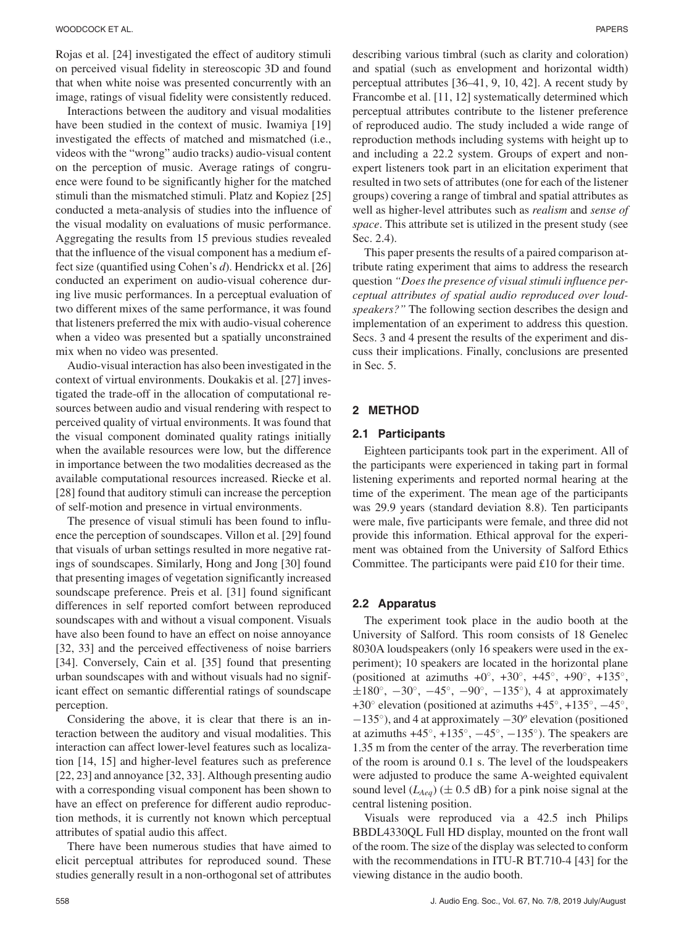Rojas et al. [24] investigated the effect of auditory stimuli on perceived visual fidelity in stereoscopic 3D and found that when white noise was presented concurrently with an image, ratings of visual fidelity were consistently reduced.

Interactions between the auditory and visual modalities have been studied in the context of music. Iwamiya [19] investigated the effects of matched and mismatched (i.e., videos with the "wrong" audio tracks) audio-visual content on the perception of music. Average ratings of congruence were found to be significantly higher for the matched stimuli than the mismatched stimuli. Platz and Kopiez [25] conducted a meta-analysis of studies into the influence of the visual modality on evaluations of music performance. Aggregating the results from 15 previous studies revealed that the influence of the visual component has a medium effect size (quantified using Cohen's *d*). Hendrickx et al. [26] conducted an experiment on audio-visual coherence during live music performances. In a perceptual evaluation of two different mixes of the same performance, it was found that listeners preferred the mix with audio-visual coherence when a video was presented but a spatially unconstrained mix when no video was presented.

Audio-visual interaction has also been investigated in the context of virtual environments. Doukakis et al. [27] investigated the trade-off in the allocation of computational resources between audio and visual rendering with respect to perceived quality of virtual environments. It was found that the visual component dominated quality ratings initially when the available resources were low, but the difference in importance between the two modalities decreased as the available computational resources increased. Riecke et al. [28] found that auditory stimuli can increase the perception of self-motion and presence in virtual environments.

The presence of visual stimuli has been found to influence the perception of soundscapes. Villon et al. [29] found that visuals of urban settings resulted in more negative ratings of soundscapes. Similarly, Hong and Jong [30] found that presenting images of vegetation significantly increased soundscape preference. Preis et al. [31] found significant differences in self reported comfort between reproduced soundscapes with and without a visual component. Visuals have also been found to have an effect on noise annoyance [32, 33] and the perceived effectiveness of noise barriers [34]. Conversely, Cain et al. [35] found that presenting urban soundscapes with and without visuals had no significant effect on semantic differential ratings of soundscape perception.

Considering the above, it is clear that there is an interaction between the auditory and visual modalities. This interaction can affect lower-level features such as localization [14, 15] and higher-level features such as preference [22, 23] and annoyance [32, 33]. Although presenting audio with a corresponding visual component has been shown to have an effect on preference for different audio reproduction methods, it is currently not known which perceptual attributes of spatial audio this affect.

There have been numerous studies that have aimed to elicit perceptual attributes for reproduced sound. These studies generally result in a non-orthogonal set of attributes

describing various timbral (such as clarity and coloration) and spatial (such as envelopment and horizontal width) perceptual attributes [36–41, 9, 10, 42]. A recent study by Francombe et al. [11, 12] systematically determined which perceptual attributes contribute to the listener preference of reproduced audio. The study included a wide range of reproduction methods including systems with height up to and including a 22.2 system. Groups of expert and nonexpert listeners took part in an elicitation experiment that resulted in two sets of attributes (one for each of the listener groups) covering a range of timbral and spatial attributes as well as higher-level attributes such as *realism* and *sense of space*. This attribute set is utilized in the present study (see Sec. 2.4).

This paper presents the results of a paired comparison attribute rating experiment that aims to address the research question *"Does the presence of visual stimuli influence perceptual attributes of spatial audio reproduced over loudspeakers?"* The following section describes the design and implementation of an experiment to address this question. Secs. 3 and 4 present the results of the experiment and discuss their implications. Finally, conclusions are presented in Sec. 5.

#### **2 METHOD**

#### **2.1 Participants**

Eighteen participants took part in the experiment. All of the participants were experienced in taking part in formal listening experiments and reported normal hearing at the time of the experiment. The mean age of the participants was 29.9 years (standard deviation 8.8). Ten participants were male, five participants were female, and three did not provide this information. Ethical approval for the experiment was obtained from the University of Salford Ethics Committee. The participants were paid £10 for their time.

#### **2.2 Apparatus**

The experiment took place in the audio booth at the University of Salford. This room consists of 18 Genelec 8030A loudspeakers (only 16 speakers were used in the experiment); 10 speakers are located in the horizontal plane (positioned at azimuths  $+0^\circ$ ,  $+30^\circ$ ,  $+45^\circ$ ,  $+90^\circ$ ,  $+135^\circ$ ,  $\pm 180^\circ$ ,  $-30^\circ$ ,  $-45^\circ$ ,  $-90^\circ$ ,  $-135^\circ$ ), 4 at approximately +30◦ elevation (positioned at azimuths +45◦, +135◦, −45◦, <sup>−</sup>135◦), and 4 at approximately <sup>−</sup>30*<sup>o</sup>* elevation (positioned at azimuths  $+45^\circ$ ,  $+135^\circ$ ,  $-45^\circ$ ,  $-135^\circ$ ). The speakers are 1.35 m from the center of the array. The reverberation time of the room is around 0.1 s. The level of the loudspeakers were adjusted to produce the same A-weighted equivalent sound level  $(L_{Aea})$  ( $\pm$  0.5 dB) for a pink noise signal at the central listening position.

Visuals were reproduced via a 42.5 inch Philips BBDL4330QL Full HD display, mounted on the front wall of the room. The size of the display was selected to conform with the recommendations in ITU-R BT.710-4 [43] for the viewing distance in the audio booth.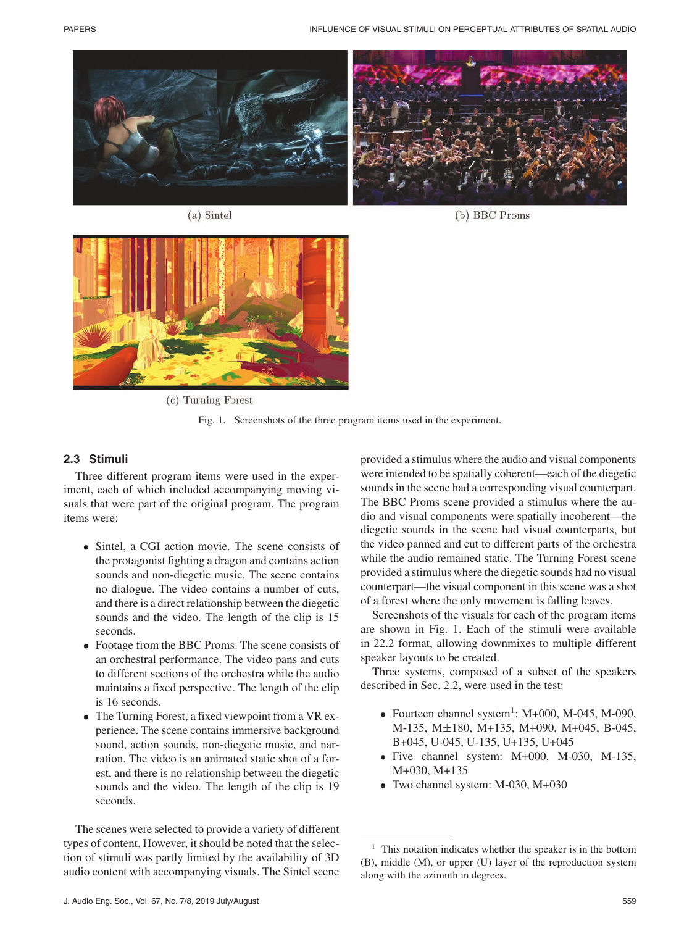





(a) Sintel

(c) Turning Forest

Fig. 1. Screenshots of the three program items used in the experiment.

## **2.3 Stimuli**

Three different program items were used in the experiment, each of which included accompanying moving visuals that were part of the original program. The program items were:

- Sintel, a CGI action movie. The scene consists of the protagonist fighting a dragon and contains action sounds and non-diegetic music. The scene contains no dialogue. The video contains a number of cuts, and there is a direct relationship between the diegetic sounds and the video. The length of the clip is 15 seconds.
- Footage from the BBC Proms. The scene consists of an orchestral performance. The video pans and cuts to different sections of the orchestra while the audio maintains a fixed perspective. The length of the clip is 16 seconds.
- The Turning Forest, a fixed viewpoint from a VR experience. The scene contains immersive background sound, action sounds, non-diegetic music, and narration. The video is an animated static shot of a forest, and there is no relationship between the diegetic sounds and the video. The length of the clip is 19 seconds.

The scenes were selected to provide a variety of different types of content. However, it should be noted that the selection of stimuli was partly limited by the availability of 3D audio content with accompanying visuals. The Sintel scene provided a stimulus where the audio and visual components were intended to be spatially coherent—each of the diegetic sounds in the scene had a corresponding visual counterpart. The BBC Proms scene provided a stimulus where the audio and visual components were spatially incoherent—the diegetic sounds in the scene had visual counterparts, but the video panned and cut to different parts of the orchestra while the audio remained static. The Turning Forest scene provided a stimulus where the diegetic sounds had no visual counterpart—the visual component in this scene was a shot of a forest where the only movement is falling leaves.

Screenshots of the visuals for each of the program items are shown in Fig. 1. Each of the stimuli were available in 22.2 format, allowing downmixes to multiple different speaker layouts to be created.

Three systems, composed of a subset of the speakers described in Sec. 2.2, were used in the test:

- Fourteen channel system<sup>1</sup>:  $M+000$ ,  $M-045$ ,  $M-090$ , M-135, M±180, M+135, M+090, M+045, B-045, B+045, U-045, U-135, U+135, U+045
- Five channel system: M+000, M-030, M-135, M+030, M+135
- Two channel system: M-030, M+030

This notation indicates whether the speaker is in the bottom (B), middle (M), or upper (U) layer of the reproduction system along with the azimuth in degrees.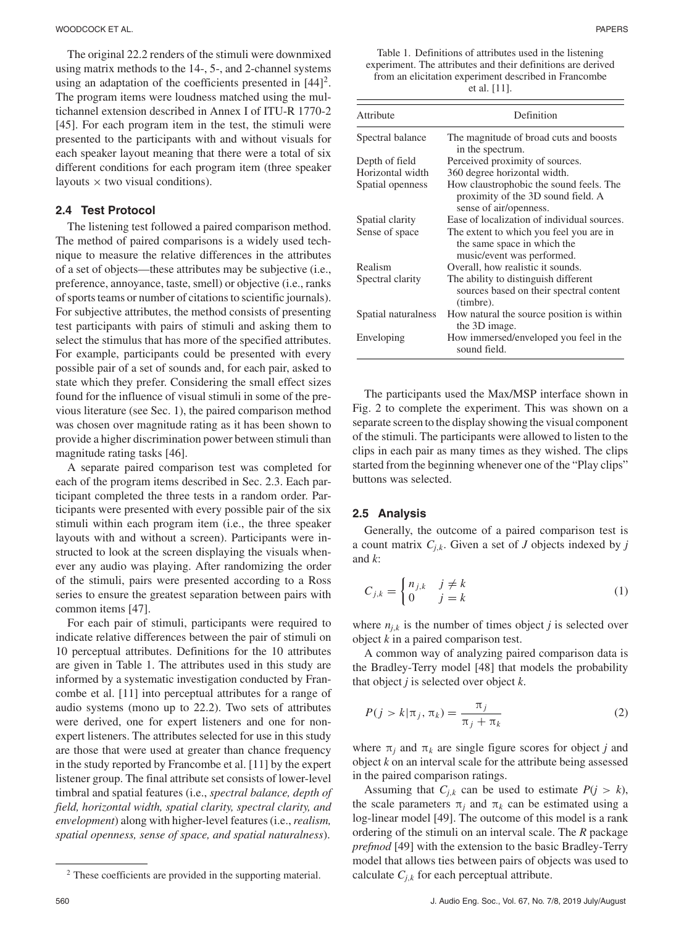The original 22.2 renders of the stimuli were downmixed using matrix methods to the 14-, 5-, and 2-channel systems using an adaptation of the coefficients presented in  $[44]^2$ . The program items were loudness matched using the multichannel extension described in Annex I of ITU-R 1770-2 [45]. For each program item in the test, the stimuli were presented to the participants with and without visuals for each speaker layout meaning that there were a total of six different conditions for each program item (three speaker layouts  $\times$  two visual conditions).

## **2.4 Test Protocol**

The listening test followed a paired comparison method. The method of paired comparisons is a widely used technique to measure the relative differences in the attributes of a set of objects—these attributes may be subjective (i.e., preference, annoyance, taste, smell) or objective (i.e., ranks of sports teams or number of citations to scientific journals). For subjective attributes, the method consists of presenting test participants with pairs of stimuli and asking them to select the stimulus that has more of the specified attributes. For example, participants could be presented with every possible pair of a set of sounds and, for each pair, asked to state which they prefer. Considering the small effect sizes found for the influence of visual stimuli in some of the previous literature (see Sec. 1), the paired comparison method was chosen over magnitude rating as it has been shown to provide a higher discrimination power between stimuli than magnitude rating tasks [46].

A separate paired comparison test was completed for each of the program items described in Sec. 2.3. Each participant completed the three tests in a random order. Participants were presented with every possible pair of the six stimuli within each program item (i.e., the three speaker layouts with and without a screen). Participants were instructed to look at the screen displaying the visuals whenever any audio was playing. After randomizing the order of the stimuli, pairs were presented according to a Ross series to ensure the greatest separation between pairs with common items [47].

For each pair of stimuli, participants were required to indicate relative differences between the pair of stimuli on 10 perceptual attributes. Definitions for the 10 attributes are given in Table 1. The attributes used in this study are informed by a systematic investigation conducted by Francombe et al. [11] into perceptual attributes for a range of audio systems (mono up to 22.2). Two sets of attributes were derived, one for expert listeners and one for nonexpert listeners. The attributes selected for use in this study are those that were used at greater than chance frequency in the study reported by Francombe et al. [11] by the expert listener group. The final attribute set consists of lower-level timbral and spatial features (i.e., *spectral balance, depth of field, horizontal width, spatial clarity, spectral clarity, and envelopment*) along with higher-level features (i.e.,*realism, spatial openness, sense of space, and spatial naturalness*).

Table 1. Definitions of attributes used in the listening experiment. The attributes and their definitions are derived from an elicitation experiment described in Francombe et al. [11].

| Attribute           | Definition                                                                                              |
|---------------------|---------------------------------------------------------------------------------------------------------|
| Spectral balance    | The magnitude of broad cuts and boosts<br>in the spectrum.                                              |
| Depth of field      | Perceived proximity of sources.                                                                         |
| Horizontal width    | 360 degree horizontal width.                                                                            |
| Spatial openness    | How claustrophobic the sound feels. The<br>proximity of the 3D sound field. A<br>sense of air/openness. |
| Spatial clarity     | Ease of localization of individual sources.                                                             |
| Sense of space      | The extent to which you feel you are in<br>the same space in which the<br>music/event was performed.    |
| Realism             | Overall, how realistic it sounds.                                                                       |
| Spectral clarity    | The ability to distinguish different<br>sources based on their spectral content<br>(timbre).            |
| Spatial naturalness | How natural the source position is within<br>the 3D image.                                              |
| Enveloping          | How immersed/enveloped you feel in the<br>sound field.                                                  |

The participants used the Max/MSP interface shown in Fig. 2 to complete the experiment. This was shown on a separate screen to the display showing the visual component of the stimuli. The participants were allowed to listen to the clips in each pair as many times as they wished. The clips started from the beginning whenever one of the "Play clips" buttons was selected.

#### **2.5 Analysis**

Generally, the outcome of a paired comparison test is a count matrix  $C_{i,k}$ . Given a set of *J* objects indexed by *j* and *k*:

$$
C_{j,k} = \begin{cases} n_{j,k} & j \neq k \\ 0 & j = k \end{cases}
$$
 (1)

where  $n_{j,k}$  is the number of times object *j* is selected over object *k* in a paired comparison test.

A common way of analyzing paired comparison data is the Bradley-Terry model [48] that models the probability that object *j* is selected over object *k*.

$$
P(j > k | \pi_j, \pi_k) = \frac{\pi_j}{\pi_j + \pi_k} \tag{2}
$$

where  $\pi_i$  and  $\pi_k$  are single figure scores for object *j* and object *k* on an interval scale for the attribute being assessed in the paired comparison ratings.

Assuming that  $C_{j,k}$  can be used to estimate  $P(j > k)$ , the scale parameters  $\pi_i$  and  $\pi_k$  can be estimated using a log-linear model [49]. The outcome of this model is a rank ordering of the stimuli on an interval scale. The *R* package *prefmod* [49] with the extension to the basic Bradley-Terry model that allows ties between pairs of objects was used to calculate  $C_{j,k}$  for each perceptual attribute.

<sup>2</sup> These coefficients are provided in the supporting material.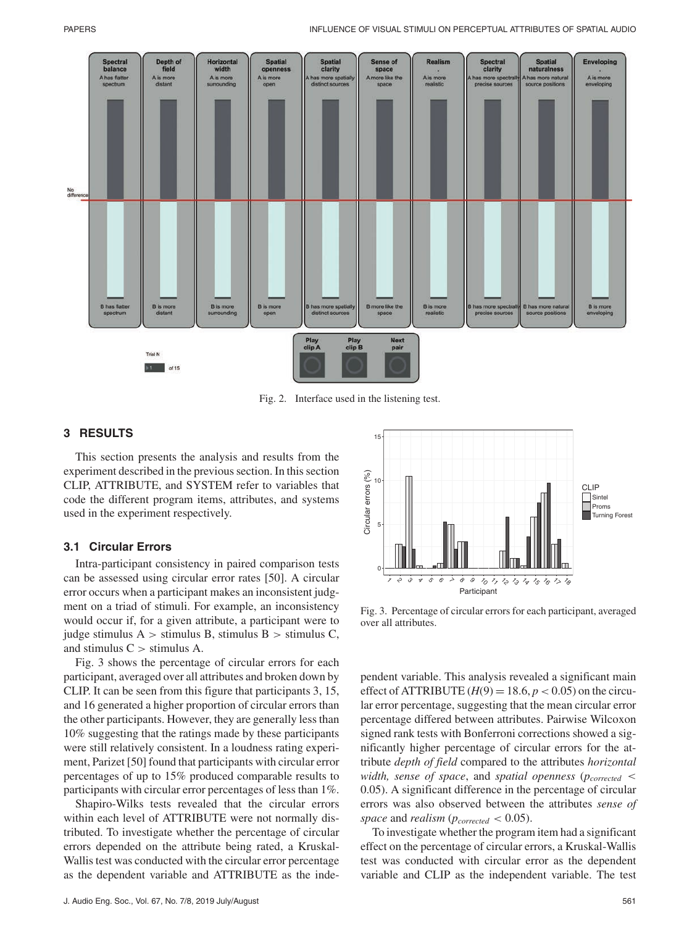

Fig. 2. Interface used in the listening test.

## **3 RESULTS**

This section presents the analysis and results from the experiment described in the previous section. In this section CLIP, ATTRIBUTE, and SYSTEM refer to variables that code the different program items, attributes, and systems used in the experiment respectively.

#### **3.1 Circular Errors**

Intra-participant consistency in paired comparison tests can be assessed using circular error rates [50]. A circular error occurs when a participant makes an inconsistent judgment on a triad of stimuli. For example, an inconsistency would occur if, for a given attribute, a participant were to judge stimulus  $A >$  stimulus B, stimulus B  $>$  stimulus C, and stimulus  $C >$  stimulus A.

Fig. 3 shows the percentage of circular errors for each participant, averaged over all attributes and broken down by CLIP. It can be seen from this figure that participants 3, 15, and 16 generated a higher proportion of circular errors than the other participants. However, they are generally less than 10% suggesting that the ratings made by these participants were still relatively consistent. In a loudness rating experiment, Parizet [50] found that participants with circular error percentages of up to 15% produced comparable results to participants with circular error percentages of less than 1%.

Shapiro-Wilks tests revealed that the circular errors within each level of ATTRIBUTE were not normally distributed. To investigate whether the percentage of circular errors depended on the attribute being rated, a Kruskal-Wallis test was conducted with the circular error percentage as the dependent variable and ATTRIBUTE as the inde-



Fig. 3. Percentage of circular errors for each participant, averaged over all attributes.

pendent variable. This analysis revealed a significant main effect of ATTRIBUTE  $(H(9) = 18.6, p < 0.05)$  on the circular error percentage, suggesting that the mean circular error percentage differed between attributes. Pairwise Wilcoxon signed rank tests with Bonferroni corrections showed a significantly higher percentage of circular errors for the attribute *depth of field* compared to the attributes *horizontal width, sense of space, and spatial openness* ( $p_{corrected}$  < 0.05). A significant difference in the percentage of circular errors was also observed between the attributes *sense of* space and *realism* ( $p_{corrected} < 0.05$ ).

To investigate whether the program item had a significant effect on the percentage of circular errors, a Kruskal-Wallis test was conducted with circular error as the dependent variable and CLIP as the independent variable. The test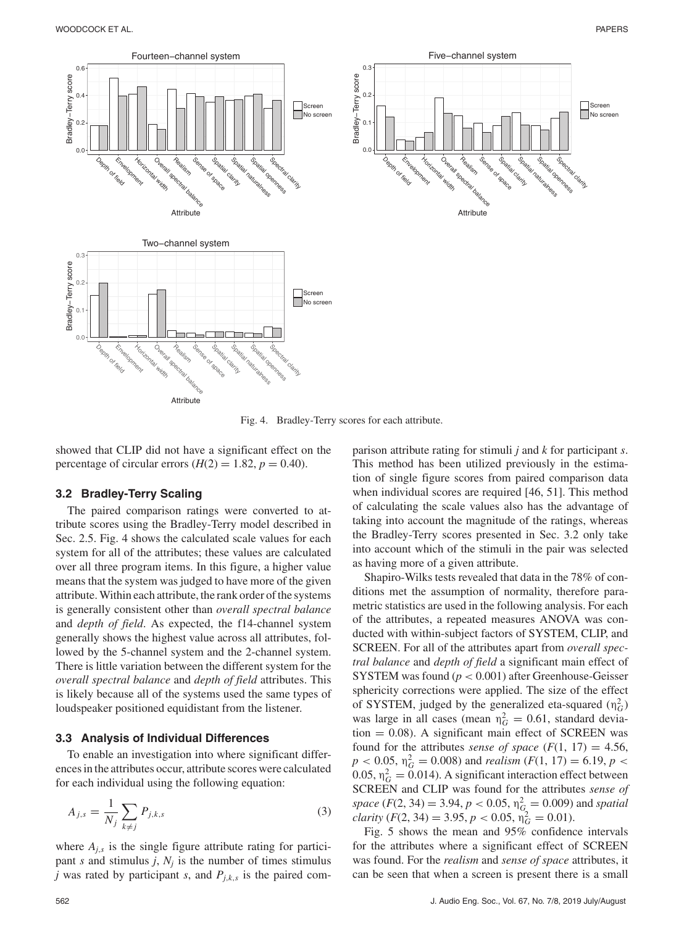

Fig. 4. Bradley-Terry scores for each attribute.

showed that CLIP did not have a significant effect on the percentage of circular errors  $(H(2) = 1.82, p = 0.40)$ .

#### **3.2 Bradley-Terry Scaling**

The paired comparison ratings were converted to attribute scores using the Bradley-Terry model described in Sec. 2.5. Fig. 4 shows the calculated scale values for each system for all of the attributes; these values are calculated over all three program items. In this figure, a higher value means that the system was judged to have more of the given attribute. Within each attribute, the rank order of the systems is generally consistent other than *overall spectral balance* and *depth of field*. As expected, the f14-channel system generally shows the highest value across all attributes, followed by the 5-channel system and the 2-channel system. There is little variation between the different system for the *overall spectral balance* and *depth of field* attributes. This is likely because all of the systems used the same types of loudspeaker positioned equidistant from the listener.

#### **3.3 Analysis of Individual Differences**

To enable an investigation into where significant differences in the attributes occur, attribute scores were calculated for each individual using the following equation:

$$
A_{j,s} = \frac{1}{N_j} \sum_{k \neq j} P_{j,k,s} \tag{3}
$$

where  $A_{j,s}$  is the single figure attribute rating for participant *s* and stimulus *j*,  $N_j$  is the number of times stimulus *j* was rated by participant *s*, and *Pj*,*k*,*<sup>s</sup>* is the paired com-

parison attribute rating for stimuli *j* and *k* for participant *s*. This method has been utilized previously in the estimation of single figure scores from paired comparison data when individual scores are required [46, 51]. This method of calculating the scale values also has the advantage of taking into account the magnitude of the ratings, whereas the Bradley-Terry scores presented in Sec. 3.2 only take into account which of the stimuli in the pair was selected as having more of a given attribute.

Shapiro-Wilks tests revealed that data in the 78% of conditions met the assumption of normality, therefore parametric statistics are used in the following analysis. For each of the attributes, a repeated measures ANOVA was conducted with within-subject factors of SYSTEM, CLIP, and SCREEN. For all of the attributes apart from *overall spectral balance* and *depth of field* a significant main effect of SYSTEM was found (*p* < 0.001) after Greenhouse-Geisser sphericity corrections were applied. The size of the effect of SYSTEM, judged by the generalized eta-squared  $(\eta_G^2)$ was large in all cases (mean  $\eta_G^2 = 0.61$ , standard devia $t$ tion = 0.08). A significant main effect of SCREEN was found for the attributes *sense of space*  $(F(1, 17) = 4.56)$ ,  $p < 0.05$ ,  $\eta_G^2 = 0.008$ ) and *realism* (*F*(1, 17) = 6.19, *p* < 0.05,  $\eta_G^2 = 0.014$ ). A significant interaction effect between SCREEN and CLIP was found for the attributes *sense of space* (*F*(2, 34) = 3.94, *p* < 0.05,  $n_G^2 = 0.009$ ) and *spatial*  $clarity$  ( $F(2, 34) = 3.95, p < 0.05, \eta_G^2 = 0.01$ ).

Fig. 5 shows the mean and 95% confidence intervals for the attributes where a significant effect of SCREEN was found. For the *realism* and *sense of space* attributes, it can be seen that when a screen is present there is a small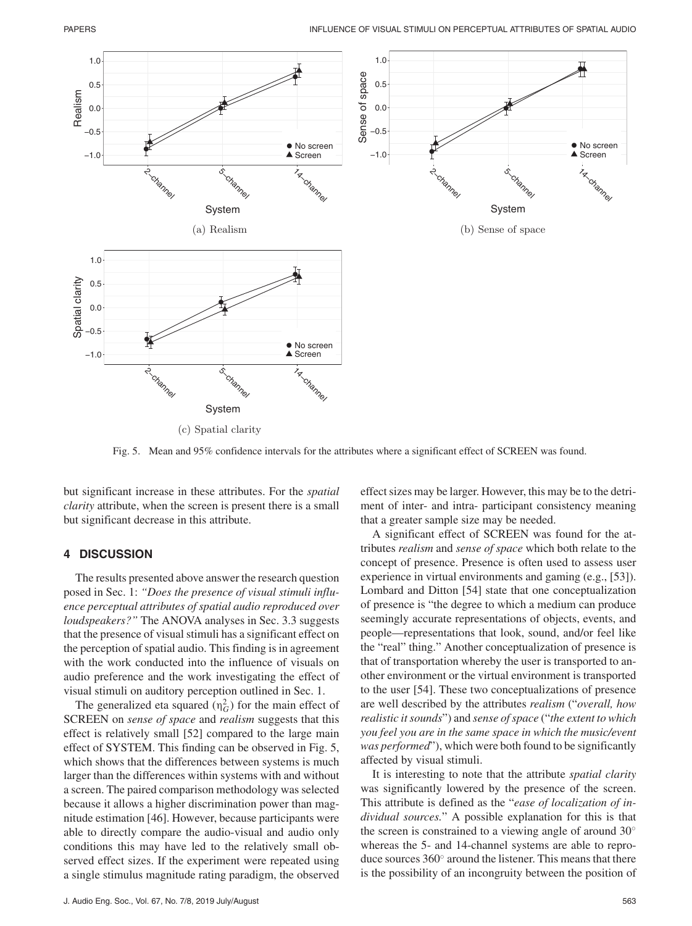

(c) Spatial clarity

Fig. 5. Mean and 95% confidence intervals for the attributes where a significant effect of SCREEN was found.

but significant increase in these attributes. For the *spatial clarity* attribute, when the screen is present there is a small but significant decrease in this attribute.

## **4 DISCUSSION**

The results presented above answer the research question posed in Sec. 1: *"Does the presence of visual stimuli influence perceptual attributes of spatial audio reproduced over loudspeakers?"* The ANOVA analyses in Sec. 3.3 suggests that the presence of visual stimuli has a significant effect on the perception of spatial audio. This finding is in agreement with the work conducted into the influence of visuals on audio preference and the work investigating the effect of visual stimuli on auditory perception outlined in Sec. 1.

The generalized eta squared  $(\eta_G^2)$  for the main effect of SCREEN on *sense of space* and *realism* suggests that this effect is relatively small [52] compared to the large main effect of SYSTEM. This finding can be observed in Fig. 5, which shows that the differences between systems is much larger than the differences within systems with and without a screen. The paired comparison methodology was selected because it allows a higher discrimination power than magnitude estimation [46]. However, because participants were able to directly compare the audio-visual and audio only conditions this may have led to the relatively small observed effect sizes. If the experiment were repeated using a single stimulus magnitude rating paradigm, the observed

J. Audio Eng. Soc., Vol. 67, No. 7/8, 2019 July/August 563

effect sizes may be larger. However, this may be to the detriment of inter- and intra- participant consistency meaning that a greater sample size may be needed.

A significant effect of SCREEN was found for the attributes *realism* and *sense of space* which both relate to the concept of presence. Presence is often used to assess user experience in virtual environments and gaming (e.g., [53]). Lombard and Ditton [54] state that one conceptualization of presence is "the degree to which a medium can produce seemingly accurate representations of objects, events, and people—representations that look, sound, and/or feel like the "real" thing." Another conceptualization of presence is that of transportation whereby the user is transported to another environment or the virtual environment is transported to the user [54]. These two conceptualizations of presence are well described by the attributes *realism* ("*overall, how realistic it sounds*") and *sense of space* ("*the extent to which you feel you are in the same space in which the music/event was performed*"), which were both found to be significantly affected by visual stimuli.

It is interesting to note that the attribute *spatial clarity* was significantly lowered by the presence of the screen. This attribute is defined as the "*ease of localization of individual sources.*" A possible explanation for this is that the screen is constrained to a viewing angle of around 30° whereas the 5- and 14-channel systems are able to reproduce sources 360◦ around the listener. This means that there is the possibility of an incongruity between the position of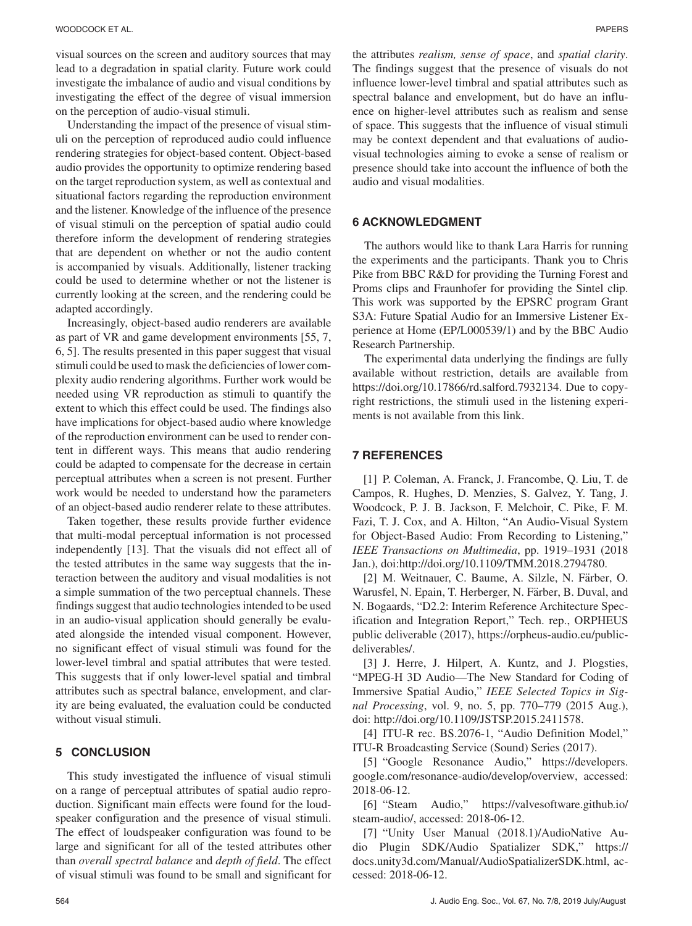visual sources on the screen and auditory sources that may lead to a degradation in spatial clarity. Future work could investigate the imbalance of audio and visual conditions by investigating the effect of the degree of visual immersion on the perception of audio-visual stimuli.

Understanding the impact of the presence of visual stimuli on the perception of reproduced audio could influence rendering strategies for object-based content. Object-based audio provides the opportunity to optimize rendering based on the target reproduction system, as well as contextual and situational factors regarding the reproduction environment and the listener. Knowledge of the influence of the presence of visual stimuli on the perception of spatial audio could therefore inform the development of rendering strategies that are dependent on whether or not the audio content is accompanied by visuals. Additionally, listener tracking could be used to determine whether or not the listener is currently looking at the screen, and the rendering could be adapted accordingly.

Increasingly, object-based audio renderers are available as part of VR and game development environments [55, 7, 6, 5]. The results presented in this paper suggest that visual stimuli could be used to mask the deficiencies of lower complexity audio rendering algorithms. Further work would be needed using VR reproduction as stimuli to quantify the extent to which this effect could be used. The findings also have implications for object-based audio where knowledge of the reproduction environment can be used to render content in different ways. This means that audio rendering could be adapted to compensate for the decrease in certain perceptual attributes when a screen is not present. Further work would be needed to understand how the parameters of an object-based audio renderer relate to these attributes.

Taken together, these results provide further evidence that multi-modal perceptual information is not processed independently [13]. That the visuals did not effect all of the tested attributes in the same way suggests that the interaction between the auditory and visual modalities is not a simple summation of the two perceptual channels. These findings suggest that audio technologies intended to be used in an audio-visual application should generally be evaluated alongside the intended visual component. However, no significant effect of visual stimuli was found for the lower-level timbral and spatial attributes that were tested. This suggests that if only lower-level spatial and timbral attributes such as spectral balance, envelopment, and clarity are being evaluated, the evaluation could be conducted without visual stimuli.

#### **5 CONCLUSION**

This study investigated the influence of visual stimuli on a range of perceptual attributes of spatial audio reproduction. Significant main effects were found for the loudspeaker configuration and the presence of visual stimuli. The effect of loudspeaker configuration was found to be large and significant for all of the tested attributes other than *overall spectral balance* and *depth of field*. The effect of visual stimuli was found to be small and significant for

the attributes *realism, sense of space*, and *spatial clarity*. The findings suggest that the presence of visuals do not influence lower-level timbral and spatial attributes such as spectral balance and envelopment, but do have an influence on higher-level attributes such as realism and sense of space. This suggests that the influence of visual stimuli may be context dependent and that evaluations of audiovisual technologies aiming to evoke a sense of realism or presence should take into account the influence of both the audio and visual modalities.

## **6 ACKNOWLEDGMENT**

The authors would like to thank Lara Harris for running the experiments and the participants. Thank you to Chris Pike from BBC R&D for providing the Turning Forest and Proms clips and Fraunhofer for providing the Sintel clip. This work was supported by the EPSRC program Grant S3A: Future Spatial Audio for an Immersive Listener Experience at Home (EP/L000539/1) and by the BBC Audio Research Partnership.

The experimental data underlying the findings are fully available without restriction, details are available from https://doi.org/10.17866/rd.salford.7932134. Due to copyright restrictions, the stimuli used in the listening experiments is not available from this link.

#### **7 REFERENCES**

[1] P. Coleman, A. Franck, J. Francombe, Q. Liu, T. de Campos, R. Hughes, D. Menzies, S. Galvez, Y. Tang, J. Woodcock, P. J. B. Jackson, F. Melchoir, C. Pike, F. M. Fazi, T. J. Cox, and A. Hilton, "An Audio-Visual System for Object-Based Audio: From Recording to Listening," *IEEE Transactions on Multimedia*, pp. 1919–1931 (2018 Jan.), doi:http://doi.org/10.1109/TMM.2018.2794780.

[2] M. Weitnauer, C. Baume, A. Silzle, N. Färber, O. Warusfel, N. Epain, T. Herberger, N. Färber, B. Duval, and N. Bogaards, "D2.2: Interim Reference Architecture Specification and Integration Report," Tech. rep., ORPHEUS public deliverable (2017), https://orpheus-audio.eu/publicdeliverables/.

[3] J. Herre, J. Hilpert, A. Kuntz, and J. Plogsties, "MPEG-H 3D Audio—The New Standard for Coding of Immersive Spatial Audio," *IEEE Selected Topics in Signal Processing*, vol. 9, no. 5, pp. 770–779 (2015 Aug.), doi: http://doi.org/10.1109/JSTSP.2015.2411578.

[4] ITU-R rec. BS.2076-1, "Audio Definition Model," ITU-R Broadcasting Service (Sound) Series (2017).

[5] "Google Resonance Audio," https://developers. google.com/resonance-audio/develop/overview, accessed: 2018-06-12.

[6] "Steam Audio," https://valvesoftware.github.io/ steam-audio/, accessed: 2018-06-12.

[7] "Unity User Manual (2018.1)/AudioNative Audio Plugin SDK/Audio Spatializer SDK," https:// docs.unity3d.com/Manual/AudioSpatializerSDK.html, accessed: 2018-06-12.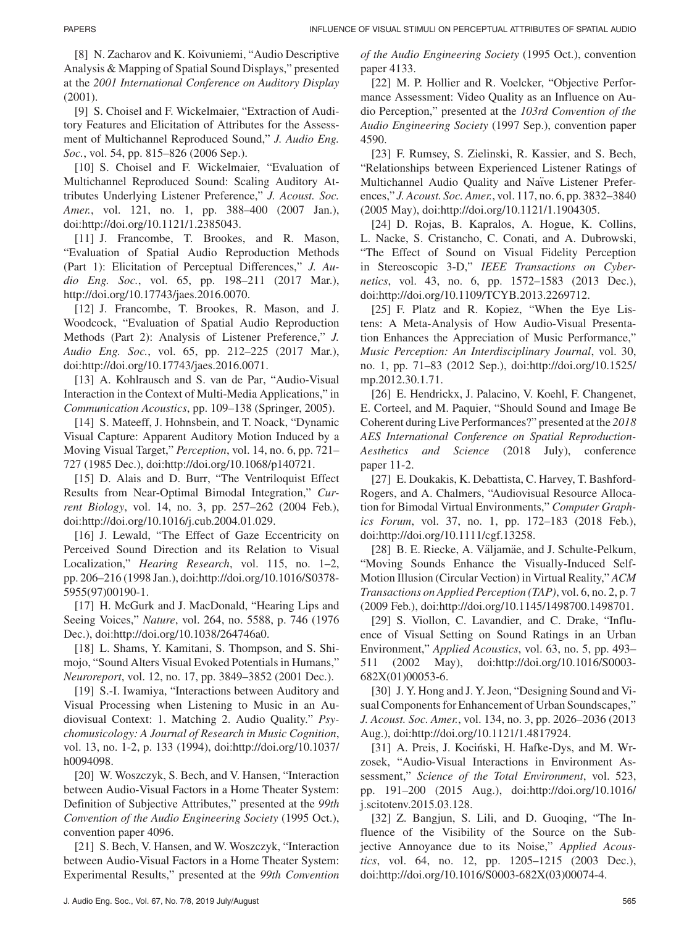[8] N. Zacharov and K. Koivuniemi, "Audio Descriptive Analysis & Mapping of Spatial Sound Displays," presented at the *2001 International Conference on Auditory Display* (2001).

[9] S. Choisel and F. Wickelmaier, "Extraction of Auditory Features and Elicitation of Attributes for the Assessment of Multichannel Reproduced Sound," *J. Audio Eng. Soc.*, vol. 54, pp. 815–826 (2006 Sep.).

[10] S. Choisel and F. Wickelmaier, "Evaluation of Multichannel Reproduced Sound: Scaling Auditory Attributes Underlying Listener Preference," *J. Acoust. Soc. Amer.*, vol. 121, no. 1, pp. 388–400 (2007 Jan.), doi:http://doi.org/10.1121/1.2385043.

[11] J. Francombe, T. Brookes, and R. Mason, "Evaluation of Spatial Audio Reproduction Methods (Part 1): Elicitation of Perceptual Differences," *J. Audio Eng. Soc.*, vol. 65, pp. 198–211 (2017 Mar.), http://doi.org/10.17743/jaes.2016.0070.

[12] J. Francombe, T. Brookes, R. Mason, and J. Woodcock, "Evaluation of Spatial Audio Reproduction Methods (Part 2): Analysis of Listener Preference," *J. Audio Eng. Soc.*, vol. 65, pp. 212–225 (2017 Mar.), doi:http://doi.org/10.17743/jaes.2016.0071.

[13] A. Kohlrausch and S. van de Par, "Audio-Visual Interaction in the Context of Multi-Media Applications," in *Communication Acoustics*, pp. 109–138 (Springer, 2005).

[14] S. Mateeff, J. Hohnsbein, and T. Noack, "Dynamic Visual Capture: Apparent Auditory Motion Induced by a Moving Visual Target," *Perception*, vol. 14, no. 6, pp. 721– 727 (1985 Dec.), doi:http://doi.org/10.1068/p140721.

[15] D. Alais and D. Burr, "The Ventriloquist Effect Results from Near-Optimal Bimodal Integration," *Current Biology*, vol. 14, no. 3, pp. 257–262 (2004 Feb.), doi:http://doi.org/10.1016/j.cub.2004.01.029.

[16] J. Lewald, "The Effect of Gaze Eccentricity on Perceived Sound Direction and its Relation to Visual Localization," *Hearing Research*, vol. 115, no. 1–2, pp. 206–216 (1998 Jan.), doi:http://doi.org/10.1016/S0378- 5955(97)00190-1.

[17] H. McGurk and J. MacDonald, "Hearing Lips and Seeing Voices," *Nature*, vol. 264, no. 5588, p. 746 (1976 Dec.), doi:http://doi.org/10.1038/264746a0.

[18] L. Shams, Y. Kamitani, S. Thompson, and S. Shimojo, "Sound Alters Visual Evoked Potentials in Humans," *Neuroreport*, vol. 12, no. 17, pp. 3849–3852 (2001 Dec.).

[19] S.-I. Iwamiya, "Interactions between Auditory and Visual Processing when Listening to Music in an Audiovisual Context: 1. Matching 2. Audio Quality." *Psychomusicology: A Journal of Research in Music Cognition*, vol. 13, no. 1-2, p. 133 (1994), doi:http://doi.org/10.1037/ h0094098.

[20] W. Woszczyk, S. Bech, and V. Hansen, "Interaction between Audio-Visual Factors in a Home Theater System: Definition of Subjective Attributes," presented at the *99th Convention of the Audio Engineering Society* (1995 Oct.), convention paper 4096.

[21] S. Bech, V. Hansen, and W. Woszczyk, "Interaction between Audio-Visual Factors in a Home Theater System: Experimental Results," presented at the *99th Convention*

*of the Audio Engineering Society* (1995 Oct.), convention paper 4133.

[22] M. P. Hollier and R. Voelcker, "Objective Performance Assessment: Video Quality as an Influence on Audio Perception," presented at the *103rd Convention of the Audio Engineering Society* (1997 Sep.), convention paper 4590.

[23] F. Rumsey, S. Zielinski, R. Kassier, and S. Bech, "Relationships between Experienced Listener Ratings of Multichannel Audio Quality and Naïve Listener Preferences," *J. Acoust. Soc. Amer.*, vol. 117, no. 6, pp. 3832–3840 (2005 May), doi:http://doi.org/10.1121/1.1904305.

[24] D. Rojas, B. Kapralos, A. Hogue, K. Collins, L. Nacke, S. Cristancho, C. Conati, and A. Dubrowski, "The Effect of Sound on Visual Fidelity Perception in Stereoscopic 3-D," *IEEE Transactions on Cybernetics*, vol. 43, no. 6, pp. 1572–1583 (2013 Dec.), doi:http://doi.org/10.1109/TCYB.2013.2269712.

[25] F. Platz and R. Kopiez, "When the Eye Listens: A Meta-Analysis of How Audio-Visual Presentation Enhances the Appreciation of Music Performance," *Music Perception: An Interdisciplinary Journal*, vol. 30, no. 1, pp. 71–83 (2012 Sep.), doi:http://doi.org/10.1525/ mp.2012.30.1.71.

[26] E. Hendrickx, J. Palacino, V. Koehl, F. Changenet, E. Corteel, and M. Paquier, "Should Sound and Image Be Coherent during Live Performances?" presented at the *2018 AES International Conference on Spatial Reproduction-Aesthetics and Science* (2018 July), conference paper 11-2.

[27] E. Doukakis, K. Debattista, C. Harvey, T. Bashford-Rogers, and A. Chalmers, "Audiovisual Resource Allocation for Bimodal Virtual Environments," *Computer Graphics Forum*, vol. 37, no. 1, pp. 172–183 (2018 Feb.), doi:http://doi.org/10.1111/cgf.13258.

[28] B. E. Riecke, A. Väljamäe, and J. Schulte-Pelkum, "Moving Sounds Enhance the Visually-Induced Self-Motion Illusion (Circular Vection) in Virtual Reality," *ACM Transactions on Applied Perception (TAP)*, vol. 6, no. 2, p. 7 (2009 Feb.), doi:http://doi.org/10.1145/1498700.1498701.

[29] S. Viollon, C. Lavandier, and C. Drake, "Influence of Visual Setting on Sound Ratings in an Urban Environment," *Applied Acoustics*, vol. 63, no. 5, pp. 493– 511 (2002 May), doi:http://doi.org/10.1016/S0003- 682X(01)00053-6.

[30] J. Y. Hong and J. Y. Jeon, "Designing Sound and Visual Components for Enhancement of Urban Soundscapes," *J. Acoust. Soc. Amer.*, vol. 134, no. 3, pp. 2026–2036 (2013 Aug.), doi:http://doi.org/10.1121/1.4817924.

[31] A. Preis, J. Kociński, H. Hafke-Dys, and M. Wrzosek, "Audio-Visual Interactions in Environment Assessment," *Science of the Total Environment*, vol. 523, pp. 191–200 (2015 Aug.), doi:http://doi.org/10.1016/ j.scitotenv.2015.03.128.

[32] Z. Bangjun, S. Lili, and D. Guoqing, "The Influence of the Visibility of the Source on the Subjective Annoyance due to its Noise," *Applied Acoustics*, vol. 64, no. 12, pp. 1205–1215 (2003 Dec.), doi:http://doi.org/10.1016/S0003-682X(03)00074-4.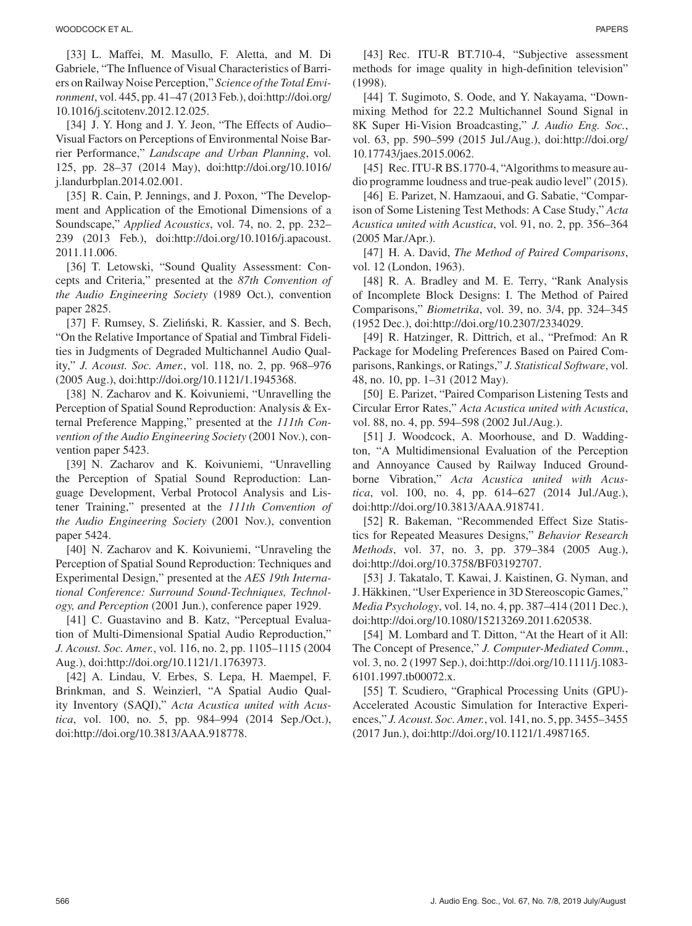[33] L. Maffei, M. Masullo, F. Aletta, and M. Di Gabriele, "The Influence of Visual Characteristics of Barriers on Railway Noise Perception," *Science of the Total Environment*, vol. 445, pp. 41–47 (2013 Feb.), doi:http://doi.org/ 10.1016/j.scitotenv.2012.12.025.

[34] J. Y. Hong and J. Y. Jeon, "The Effects of Audio-Visual Factors on Perceptions of Environmental Noise Barrier Performance," *Landscape and Urban Planning*, vol. 125, pp. 28–37 (2014 May), doi:http://doi.org/10.1016/ j.landurbplan.2014.02.001.

[35] R. Cain, P. Jennings, and J. Poxon, "The Development and Application of the Emotional Dimensions of a Soundscape," *Applied Acoustics*, vol. 74, no. 2, pp. 232– 239 (2013 Feb.), doi:http://doi.org/10.1016/j.apacoust. 2011.11.006.

[36] T. Letowski, "Sound Quality Assessment: Concepts and Criteria," presented at the *87th Convention of the Audio Engineering Society* (1989 Oct.), convention paper 2825.

[37] F. Rumsey, S. Zieliński, R. Kassier, and S. Bech, "On the Relative Importance of Spatial and Timbral Fidelities in Judgments of Degraded Multichannel Audio Quality," *J. Acoust. Soc. Amer.*, vol. 118, no. 2, pp. 968–976 (2005 Aug.), doi:http://doi.org/10.1121/1.1945368.

[38] N. Zacharov and K. Koivuniemi, "Unravelling the Perception of Spatial Sound Reproduction: Analysis & External Preference Mapping," presented at the *111th Convention of the Audio Engineering Society* (2001 Nov.), convention paper 5423.

[39] N. Zacharov and K. Koivuniemi, "Unravelling the Perception of Spatial Sound Reproduction: Language Development, Verbal Protocol Analysis and Listener Training," presented at the *111th Convention of the Audio Engineering Society* (2001 Nov.), convention paper 5424.

[40] N. Zacharov and K. Koivuniemi, "Unraveling the Perception of Spatial Sound Reproduction: Techniques and Experimental Design," presented at the *AES 19th International Conference: Surround Sound-Techniques, Technology, and Perception* (2001 Jun.), conference paper 1929.

[41] C. Guastavino and B. Katz, "Perceptual Evaluation of Multi-Dimensional Spatial Audio Reproduction," *J. Acoust. Soc. Amer.*, vol. 116, no. 2, pp. 1105–1115 (2004 Aug.), doi:http://doi.org/10.1121/1.1763973.

[42] A. Lindau, V. Erbes, S. Lepa, H. Maempel, F. Brinkman, and S. Weinzierl, "A Spatial Audio Quality Inventory (SAQI)," *Acta Acustica united with Acustica*, vol. 100, no. 5, pp. 984–994 (2014 Sep./Oct.), doi:http://doi.org/10.3813/AAA.918778.

[43] Rec. ITU-R BT.710-4, "Subjective assessment methods for image quality in high-definition television" (1998).

[44] T. Sugimoto, S. Oode, and Y. Nakayama, "Downmixing Method for 22.2 Multichannel Sound Signal in 8K Super Hi-Vision Broadcasting," *J. Audio Eng. Soc.*, vol. 63, pp. 590–599 (2015 Jul./Aug.), doi:http://doi.org/ 10.17743/jaes.2015.0062.

[45] Rec. ITU-R BS.1770-4, "Algorithms to measure audio programme loudness and true-peak audio level" (2015).

[46] E. Parizet, N. Hamzaoui, and G. Sabatie, "Comparison of Some Listening Test Methods: A Case Study," *Acta Acustica united with Acustica*, vol. 91, no. 2, pp. 356–364 (2005 Mar./Apr.).

[47] H. A. David, *The Method of Paired Comparisons*, vol. 12 (London, 1963).

[48] R. A. Bradley and M. E. Terry, "Rank Analysis of Incomplete Block Designs: I. The Method of Paired Comparisons," *Biometrika*, vol. 39, no. 3/4, pp. 324–345 (1952 Dec.), doi:http://doi.org/10.2307/2334029.

[49] R. Hatzinger, R. Dittrich, et al., "Prefmod: An R Package for Modeling Preferences Based on Paired Comparisons, Rankings, or Ratings," *J. Statistical Software*, vol. 48, no. 10, pp. 1–31 (2012 May).

[50] E. Parizet, "Paired Comparison Listening Tests and Circular Error Rates," *Acta Acustica united with Acustica*, vol. 88, no. 4, pp. 594–598 (2002 Jul./Aug.).

[51] J. Woodcock, A. Moorhouse, and D. Waddington, "A Multidimensional Evaluation of the Perception and Annoyance Caused by Railway Induced Groundborne Vibration," *Acta Acustica united with Acustica*, vol. 100, no. 4, pp. 614–627 (2014 Jul./Aug.), doi:http://doi.org/10.3813/AAA.918741.

[52] R. Bakeman, "Recommended Effect Size Statistics for Repeated Measures Designs," *Behavior Research Methods*, vol. 37, no. 3, pp. 379–384 (2005 Aug.), doi:http://doi.org/10.3758/BF03192707.

[53] J. Takatalo, T. Kawai, J. Kaistinen, G. Nyman, and J. Hakkinen, "User Experience in 3D Stereoscopic Games," ¨ *Media Psychology*, vol. 14, no. 4, pp. 387–414 (2011 Dec.), doi:http://doi.org/10.1080/15213269.2011.620538.

[54] M. Lombard and T. Ditton, "At the Heart of it All: The Concept of Presence," *J. Computer-Mediated Comm.*, vol. 3, no. 2 (1997 Sep.), doi:http://doi.org/10.1111/j.1083- 6101.1997.tb00072.x.

[55] T. Scudiero, "Graphical Processing Units (GPU)- Accelerated Acoustic Simulation for Interactive Experiences," *J. Acoust. Soc. Amer.*, vol. 141, no. 5, pp. 3455–3455 (2017 Jun.), doi:http://doi.org/10.1121/1.4987165.